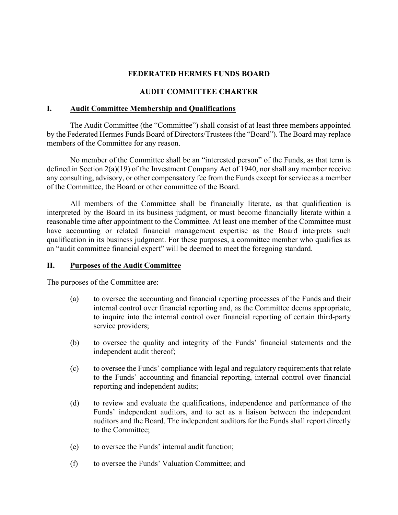## **FEDERATED HERMES FUNDS BOARD**

# **AUDIT COMMITTEE CHARTER**

#### **I. Audit Committee Membership and Qualifications**

 by the Federated Hermes Funds Board of Directors/Trustees (the "Board"). The Board may replace members of the Committee for any reason. The Audit Committee (the "Committee") shall consist of at least three members appointed

 of the Committee, the Board or other committee of the Board. No member of the Committee shall be an "interested person" of the Funds, as that term is defined in Section 2(a)(19) of the Investment Company Act of 1940, nor shall any member receive any consulting, advisory, or other compensatory fee from the Funds except for service as a member

 interpreted by the Board in its business judgment, or must become financially literate within a reasonable time after appointment to the Committee. At least one member of the Committee must All members of the Committee shall be financially literate, as that qualification is have accounting or related financial management expertise as the Board interprets such qualification in its business judgment. For these purposes, a committee member who qualifies as an "audit committee financial expert" will be deemed to meet the foregoing standard.

## **II. Purposes of the Audit Committee**

The purposes of the Committee are:

- (a) to oversee the accounting and financial reporting processes of the Funds and their internal control over financial reporting and, as the Committee deems appropriate, to inquire into the internal control over financial reporting of certain third-party service providers;
- (b) to oversee the quality and integrity of the Funds' financial statements and the independent audit thereof;
- to the Funds' accounting and financial reporting, internal control over financial (c) to oversee the Funds' compliance with legal and regulatory requirements that relate reporting and independent audits;
- Funds' independent auditors, and to act as a liaison between the independent (d) to review and evaluate the qualifications, independence and performance of the auditors and the Board. The independent auditors for the Funds shall report directly to the Committee;
- (e) to oversee the Funds' internal audit function;
- (f) to oversee the Funds' Valuation Committee; and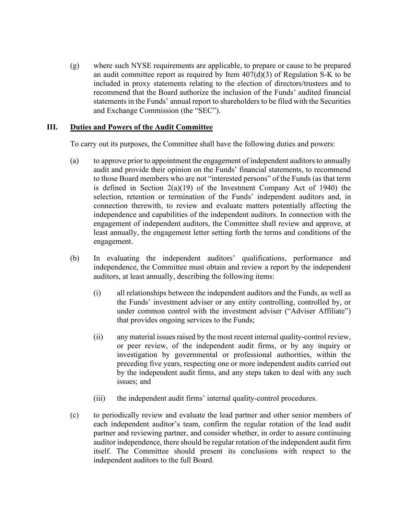(g) where such NYSE requirements are applicable, to prepare or cause to be prepared an audit committee report as required by Item 407(d)(3) of Regulation S-K to be included in proxy statements relating to the election of directors/trustees and to statements in the Funds' annual report to shareholders to be filed with the Securities recommend that the Board authorize the inclusion of the Funds' audited financial and Exchange Commission (the "SEC").

## **III. Duties and Powers of the Audit Committee**

To carry out its purposes, the Committee shall have the following duties and powers:

- to those Board members who are not "interested persons" of the Funds (as that term least annually, the engagement letter setting forth the terms and conditions of the (a) to approve prior to appointment the engagement of independent auditors to annually audit and provide their opinion on the Funds' financial statements, to recommend is defined in Section 2(a)(19) of the Investment Company Act of 1940) the selection, retention or termination of the Funds' independent auditors and, in connection therewith, to review and evaluate matters potentially affecting the independence and capabilities of the independent auditors. In connection with the engagement of independent auditors, the Committee shall review and approve, at engagement.
- (b) In evaluating the independent auditors' qualifications, performance and independence, the Committee must obtain and review a report by the independent auditors, at least annually, describing the following items:
	- (i) all relationships between the independent auditors and the Funds, as well as the Funds' investment adviser or any entity controlling, controlled by, or under common control with the investment adviser ("Adviser Affiliate") that provides ongoing services to the Funds;
	- or peer review, of the independent audit firms, or by any inquiry or (ii) any material issues raised by the most recent internal quality-control review, investigation by governmental or professional authorities, within the preceding five years, respecting one or more independent audits carried out by the independent audit firms, and any steps taken to deal with any such issues; and
	- (iii) the independent audit firms' internal quality-control procedures.
- auditor independence, there should be regular rotation of the independent audit firm (c) to periodically review and evaluate the lead partner and other senior members of each independent auditor's team, confirm the regular rotation of the lead audit partner and reviewing partner, and consider whether, in order to assure continuing itself. The Committee should present its conclusions with respect to the independent auditors to the full Board.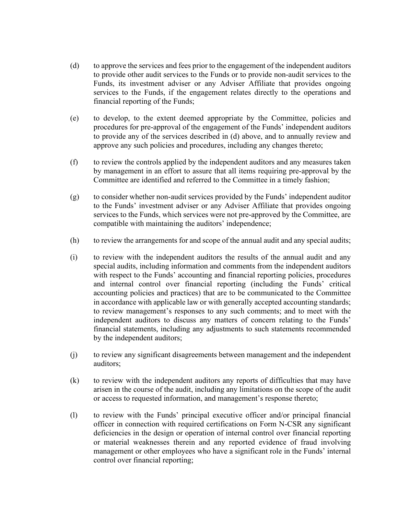- (d) to approve the services and fees prior to the engagement of the independent auditors Funds, its investment adviser or any Adviser Affiliate that provides ongoing financial reporting of the Funds; to provide other audit services to the Funds or to provide non-audit services to the services to the Funds, if the engagement relates directly to the operations and
- procedures for pre-approval of the engagement of the Funds' independent auditors (e) to develop, to the extent deemed appropriate by the Committee, policies and to provide any of the services described in (d) above, and to annually review and approve any such policies and procedures, including any changes thereto;
- (f) to review the controls applied by the independent auditors and any measures taken by management in an effort to assure that all items requiring pre-approval by the Committee are identified and referred to the Committee in a timely fashion;
- to the Funds' investment adviser or any Adviser Affiliate that provides ongoing (g) to consider whether non-audit services provided by the Funds' independent auditor services to the Funds, which services were not pre-approved by the Committee, are compatible with maintaining the auditors' independence;
- (h) to review the arrangements for and scope of the annual audit and any special audits;
- (i) to review with the independent auditors the results of the annual audit and any special audits, including information and comments from the independent auditors with respect to the Funds' accounting and financial reporting policies, procedures and internal control over financial reporting (including the Funds' critical accounting policies and practices) that are to be communicated to the Committee in accordance with applicable law or with generally accepted accounting standards; to review management's responses to any such comments; and to meet with the independent auditors to discuss any matters of concern relating to the Funds' financial statements, including any adjustments to such statements recommended by the independent auditors;
- (j) to review any significant disagreements between management and the independent auditors;
- (k) to review with the independent auditors any reports of difficulties that may have arisen in the course of the audit, including any limitations on the scope of the audit or access to requested information, and management's response thereto;
- deficiencies in the design or operation of internal control over financial reporting (l) to review with the Funds' principal executive officer and/or principal financial officer in connection with required certifications on Form N-CSR any significant or material weaknesses therein and any reported evidence of fraud involving management or other employees who have a significant role in the Funds' internal control over financial reporting;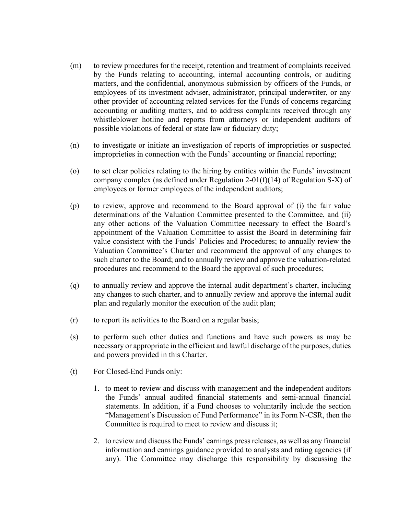- by the Funds relating to accounting, internal accounting controls, or auditing employees of its investment adviser, administrator, principal underwriter, or any other provider of accounting related services for the Funds of concerns regarding whistleblower hotline and reports from attorneys or independent auditors of (m) to review procedures for the receipt, retention and treatment of complaints received matters, and the confidential, anonymous submission by officers of the Funds, or accounting or auditing matters, and to address complaints received through any possible violations of federal or state law or fiduciary duty;
- (n) to investigate or initiate an investigation of reports of improprieties or suspected improprieties in connection with the Funds' accounting or financial reporting;
- (o) to set clear policies relating to the hiring by entities within the Funds' investment company complex (as defined under Regulation 2-01(f)(14) of Regulation S-X) of employees or former employees of the independent auditors;
- (p) to review, approve and recommend to the Board approval of (i) the fair value value consistent with the Funds' Policies and Procedures; to annually review the Valuation Committee's Charter and recommend the approval of any changes to determinations of the Valuation Committee presented to the Committee, and (ii) any other actions of the Valuation Committee necessary to effect the Board's appointment of the Valuation Committee to assist the Board in determining fair such charter to the Board; and to annually review and approve the valuation-related procedures and recommend to the Board the approval of such procedures;
- (q) to annually review and approve the internal audit department's charter, including any changes to such charter, and to annually review and approve the internal audit plan and regularly monitor the execution of the audit plan;
- (r) to report its activities to the Board on a regular basis;
- (s) to perform such other duties and functions and have such powers as may be necessary or appropriate in the efficient and lawful discharge of the purposes, duties and powers provided in this Charter.
- (t) For Closed-End Funds only:
	- 1. to meet to review and discuss with management and the independent auditors statements. In addition, if a Fund chooses to voluntarily include the section "Management's Discussion of Fund Performance" in its Form N-CSR, then the the Funds' annual audited financial statements and semi-annual financial Committee is required to meet to review and discuss it;
	- 2. to review and discuss the Funds' earnings press releases, as well as any financial any). The Committee may discharge this responsibility by discussing the information and earnings guidance provided to analysts and rating agencies (if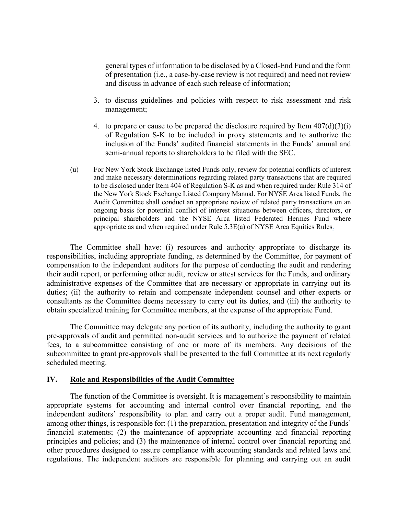general types of information to be disclosed by a Closed-End Fund and the form of presentation (i.e., a case-by-case review is not required) and need not review and discuss in advance of each such release of information;

- 3. to discuss guidelines and policies with respect to risk assessment and risk management;
- 4. to prepare or cause to be prepared the disclosure required by Item  $407(d)(3)(i)$ of Regulation S-K to be included in proxy statements and to authorize the inclusion of the Funds' audited financial statements in the Funds' annual and semi-annual reports to shareholders to be filed with the SEC.
- (u) For New York Stock Exchange listed Funds only, review for potential conflicts of interest and make necessary determinations regarding related party transactions that are required to be disclosed under Item 404 of Regulation S-K as and when required under Rule 314 of the New York Stock Exchange Listed Company Manual. For NYSE Arca listed Funds, the Audit Committee shall conduct an appropriate review of related party transactions on an ongoing basis for potential conflict of interest situations between officers, directors, or principal shareholders and the NYSE Arca listed Federated Hermes Fund where appropriate as and when required under Rule 5.3E(a) of NYSE Arca Equities Rules.

 The Committee shall have: (i) resources and authority appropriate to discharge its administrative expenses of the Committee that are necessary or appropriate in carrying out its duties; (ii) the authority to retain and compensate independent counsel and other experts or consultants as the Committee deems necessary to carry out its duties, and (iii) the authority to obtain specialized training for Committee members, at the expense of the appropriate Fund. responsibilities, including appropriate funding, as determined by the Committee, for payment of compensation to the independent auditors for the purpose of conducting the audit and rendering their audit report, or performing other audit, review or attest services for the Funds, and ordinary

 pre-approvals of audit and permitted non-audit services and to authorize the payment of related subcommittee to grant pre-approvals shall be presented to the full Committee at its next regularly The Committee may delegate any portion of its authority, including the authority to grant fees, to a subcommittee consisting of one or more of its members. Any decisions of the scheduled meeting.

#### **IV. Role and Responsibilities of the Audit Committee**

 The function of the Committee is oversight. It is management's responsibility to maintain among other things, is responsible for: (1) the preparation, presentation and integrity of the Funds' other procedures designed to assure compliance with accounting standards and related laws and regulations. The independent auditors are responsible for planning and carrying out an audit appropriate systems for accounting and internal control over financial reporting, and the independent auditors' responsibility to plan and carry out a proper audit. Fund management, financial statements; (2) the maintenance of appropriate accounting and financial reporting principles and policies; and (3) the maintenance of internal control over financial reporting and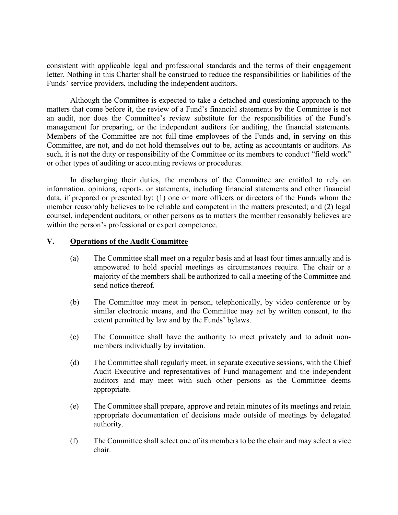letter. Nothing in this Charter shall be construed to reduce the responsibilities or liabilities of the consistent with applicable legal and professional standards and the terms of their engagement Funds' service providers, including the independent auditors.

 matters that come before it, the review of a Fund's financial statements by the Committee is not an audit, nor does the Committee's review substitute for the responsibilities of the Fund's such, it is not the duty or responsibility of the Committee or its members to conduct "field work" or other types of auditing or accounting reviews or procedures. Although the Committee is expected to take a detached and questioning approach to the management for preparing, or the independent auditors for auditing, the financial statements. Members of the Committee are not full-time employees of the Funds and, in serving on this Committee, are not, and do not hold themselves out to be, acting as accountants or auditors. As

 counsel, independent auditors, or other persons as to matters the member reasonably believes are In discharging their duties, the members of the Committee are entitled to rely on information, opinions, reports, or statements, including financial statements and other financial data, if prepared or presented by: (1) one or more officers or directors of the Funds whom the member reasonably believes to be reliable and competent in the matters presented; and (2) legal within the person's professional or expert competence.

## **V. Operations of the Audit Committee**

- (a) The Committee shall meet on a regular basis and at least four times annually and is empowered to hold special meetings as circumstances require. The chair or a majority of the members shall be authorized to call a meeting of the Committee and send notice thereof.
- (b) The Committee may meet in person, telephonically, by video conference or by similar electronic means, and the Committee may act by written consent, to the extent permitted by law and by the Funds' bylaws.
- (c) The Committee shall have the authority to meet privately and to admit nonmembers individually by invitation.
- Audit Executive and representatives of Fund management and the independent (d) The Committee shall regularly meet, in separate executive sessions, with the Chief auditors and may meet with such other persons as the Committee deems appropriate.
- (e) The Committee shall prepare, approve and retain minutes of its meetings and retain appropriate documentation of decisions made outside of meetings by delegated authority.
- (f) The Committee shall select one of its members to be the chair and may select a vice chair.